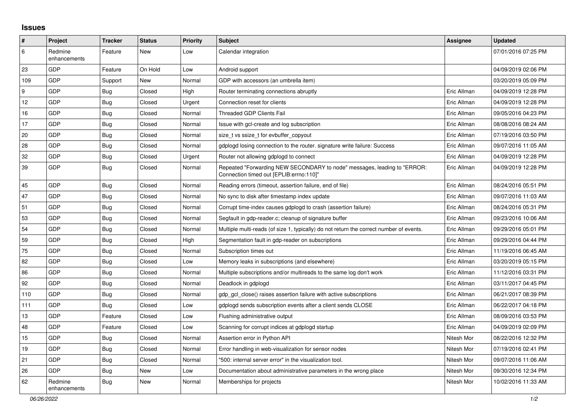## **Issues**

| $\vert$ # | Project                 | <b>Tracker</b> | <b>Status</b> | <b>Priority</b> | <b>Subject</b>                                                                                                      | <b>Assignee</b> | <b>Updated</b>      |
|-----------|-------------------------|----------------|---------------|-----------------|---------------------------------------------------------------------------------------------------------------------|-----------------|---------------------|
| 6         | Redmine<br>enhancements | Feature        | New           | Low             | Calendar integration                                                                                                |                 | 07/01/2016 07:25 PM |
| 23        | GDP                     | Feature        | On Hold       | Low             | Android support                                                                                                     |                 | 04/09/2019 02:06 PM |
| 109       | GDP                     | Support        | New           | Normal          | GDP with accessors (an umbrella item)                                                                               |                 | 03/20/2019 05:09 PM |
| 9         | GDP                     | <b>Bug</b>     | Closed        | High            | Router terminating connections abruptly                                                                             | Eric Allman     | 04/09/2019 12:28 PM |
| 12        | GDP                     | <b>Bug</b>     | Closed        | Urgent          | Connection reset for clients                                                                                        | Eric Allman     | 04/09/2019 12:28 PM |
| 16        | GDP                     | Bug            | Closed        | Normal          | <b>Threaded GDP Clients Fail</b>                                                                                    | Eric Allman     | 09/05/2016 04:23 PM |
| 17        | GDP                     | Bug            | Closed        | Normal          | Issue with gcl-create and log subscription                                                                          | Eric Allman     | 08/08/2016 08:24 AM |
| 20        | GDP                     | Bug            | Closed        | Normal          | size_t vs ssize_t for evbuffer_copyout                                                                              | Eric Allman     | 07/19/2016 03:50 PM |
| 28        | GDP                     | <b>Bug</b>     | Closed        | Normal          | gdplogd losing connection to the router. signature write failure: Success                                           | Eric Allman     | 09/07/2016 11:05 AM |
| 32        | GDP                     | <b>Bug</b>     | Closed        | Urgent          | Router not allowing gdplogd to connect                                                                              | Eric Allman     | 04/09/2019 12:28 PM |
| 39        | <b>GDP</b>              | <b>Bug</b>     | Closed        | Normal          | Repeated "Forwarding NEW SECONDARY to node" messages, leading to "ERROR:<br>Connection timed out [EPLIB:errno:110]" | Eric Allman     | 04/09/2019 12:28 PM |
| 45        | GDP                     | <b>Bug</b>     | Closed        | Normal          | Reading errors (timeout, assertion failure, end of file)                                                            | Eric Allman     | 08/24/2016 05:51 PM |
| 47        | GDP                     | Bug            | Closed        | Normal          | No sync to disk after timestamp index update                                                                        | Eric Allman     | 09/07/2016 11:03 AM |
| 51        | GDP                     | <b>Bug</b>     | Closed        | Normal          | Corrupt time-index causes gdplogd to crash (assertion failure)                                                      | Eric Allman     | 08/24/2016 05:31 PM |
| 53        | GDP                     | Bug            | Closed        | Normal          | Segfault in gdp-reader.c; cleanup of signature buffer                                                               | Eric Allman     | 09/23/2016 10:06 AM |
| 54        | GDP                     | Bug            | Closed        | Normal          | Multiple multi-reads (of size 1, typically) do not return the correct number of events.                             | Eric Allman     | 09/29/2016 05:01 PM |
| 59        | GDP                     | Bug            | Closed        | High            | Segmentation fault in gdp-reader on subscriptions                                                                   | Eric Allman     | 09/29/2016 04:44 PM |
| 75        | GDP                     | <b>Bug</b>     | Closed        | Normal          | Subscription times out                                                                                              | Eric Allman     | 11/19/2016 06:45 AM |
| 82        | GDP                     | <b>Bug</b>     | Closed        | Low             | Memory leaks in subscriptions (and elsewhere)                                                                       | Eric Allman     | 03/20/2019 05:15 PM |
| 86        | GDP                     | <b>Bug</b>     | Closed        | Normal          | Multiple subscriptions and/or multireads to the same log don't work                                                 | Eric Allman     | 11/12/2016 03:31 PM |
| 92        | GDP                     | Bug            | Closed        | Normal          | Deadlock in gdplogd                                                                                                 | Eric Allman     | 03/11/2017 04:45 PM |
| 110       | GDP                     | Bug            | Closed        | Normal          | gdp gcl close() raises assertion failure with active subscriptions                                                  | Eric Allman     | 06/21/2017 08:39 PM |
| 111       | GDP                     | <b>Bug</b>     | Closed        | Low             | adpload sends subscription events after a client sends CLOSE                                                        | Eric Allman     | 06/22/2017 04:18 PM |
| 13        | GDP                     | Feature        | Closed        | Low             | Flushing administrative output                                                                                      | Eric Allman     | 08/09/2016 03:53 PM |
| 48        | GDP                     | Feature        | Closed        | Low             | Scanning for corrupt indices at gdplogd startup                                                                     | Eric Allman     | 04/09/2019 02:09 PM |
| 15        | GDP                     | <b>Bug</b>     | Closed        | Normal          | Assertion error in Python API                                                                                       | Nitesh Mor      | 08/22/2016 12:32 PM |
| 19        | GDP                     | Bug            | Closed        | Normal          | Error handling in web-visualization for sensor nodes                                                                | Nitesh Mor      | 07/19/2016 02:41 PM |
| 21        | <b>GDP</b>              | <b>Bug</b>     | Closed        | Normal          | '500: internal server error" in the visualization tool.                                                             | Nitesh Mor      | 09/07/2016 11:06 AM |
| 26        | GDP                     | Bug            | New           | Low             | Documentation about administrative parameters in the wrong place                                                    | Nitesh Mor      | 09/30/2016 12:34 PM |
| 62        | Redmine<br>enhancements | Bug            | New           | Normal          | Memberships for projects                                                                                            | Nitesh Mor      | 10/02/2016 11:33 AM |